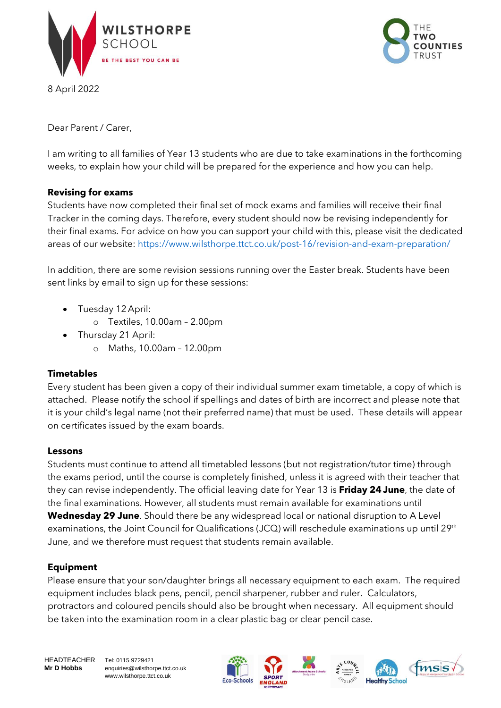





Dear Parent / Carer,

I am writing to all families of Year 13 students who are due to take examinations in the forthcoming weeks, to explain how your child will be prepared for the experience and how you can help.

# **Revising for exams**

Students have now completed their final set of mock exams and families will receive their final Tracker in the coming days. Therefore, every student should now be revising independently for their final exams. For advice on how you can support your child with this, please visit the dedicated areas of our website: <https://www.wilsthorpe.ttct.co.uk/post-16/revision-and-exam-preparation/>

In addition, there are some revision sessions running over the Easter break. Students have been sent links by email to sign up for these sessions:

- Tuesday 12 April:
	- o Textiles, 10.00am 2.00pm
- Thursday 21 April:
	- o Maths, 10.00am 12.00pm

## **Timetables**

Every student has been given a copy of their individual summer exam timetable, a copy of which is attached. Please notify the school if spellings and dates of birth are incorrect and please note that it is your child's legal name (not their preferred name) that must be used. These details will appear on certificates issued by the exam boards.

## **Lessons**

Students must continue to attend all timetabled lessons (but not registration/tutor time) through the exams period, until the course is completely finished, unless it is agreed with their teacher that they can revise independently. The official leaving date for Year 13 is **Friday 24June**, the date of the final examinations. However, all students must remain available for examinations until **Wednesday 29 June**. Should there be any widespread local or national disruption to A Level examinations, the Joint Council for Qualifications (JCQ) will reschedule examinations up until 29<sup>th</sup> June, and we therefore must request that students remain available.

## **Equipment**

Please ensure that your son/daughter brings all necessary equipment to each exam. The required equipment includes black pens, pencil, pencil sharpener, rubber and ruler. Calculators, protractors and coloured pencils should also be brought when necessary. All equipment should be taken into the examination room in a clear plastic bag or clear pencil case.

HEADTEACHER Tel: 0115 9729421

**Mr D Hobbs** enquiries@wilsthorpe.ttct.co.uk www.wilsthorpe.ttct.co.uk